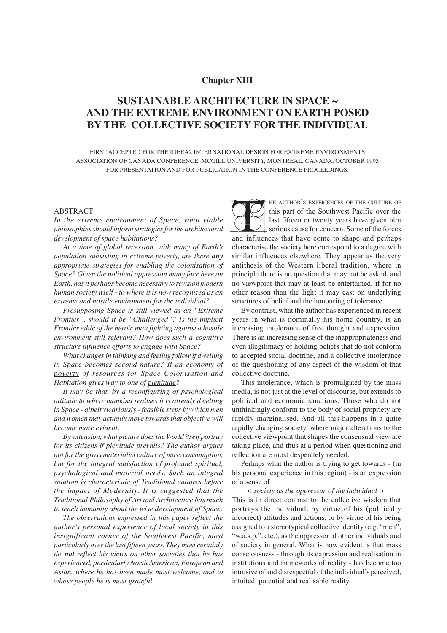## **Chapter XIII**

## **SUSTAINABLE ARCHITECTURE IN SPACE ~ AND THE EXTREME ENVIRONMENT ON EARTH POSED BY THE COLLECTIVE SOCIETY FOR THE INDIVIDUAL**

FIRST ACCEPTED FOR THE IDEEA2 INTERNATIONAL DESIGN FOR EXTREME ENVIRONMENTS ASSOCIATION OF CANADA CONFERENCE, MCGILL UNIVERSITY, MONTREAL, CANADA, OCTOBER 1993 FOR PRESENTATION AND FOR PUBLICATION IN THE CONFERENCE PROCEEDINGS.

## ABSTRACT

*In the extreme environment of Space, what viable philosophies should inform strategies for the architectural development of space habitations?*

At a time of global recession, with many of Earth's *population subsisting in extreme poverty, are there any appropriate strategies for enabling the colonisation of Space? Given the political oppression many face here on Earth, has it perhaps become necessary to revision modern human society itself - to where it is now recognized as an extreme and hostile environment for the individual?*

*Presupposing Space is still viewed as an "Extreme" Frontier*", should it be "Challenged"? Is the implicit *Frontier ethic of the heroic man fighting against a hostile environment still relevant? How does such a cognitive structure influence efforts to engage with Space?*

*What changes in thinking and feeling follow if dwelling in Space becomes second-nature? If an economy of poverty of resources for Space Colonisation and Habitation gives way to one of plenitude?*

*It may be that, by a reconfiguring of psychological attitude to where mankind realises it is already dwelling in Space - albeit vicariously - feasible steps by which men and women may actually move towards that objective will become more evident.*

*By extension, what picture does the World itself portray for its citizens if plenitude prevails? The author argues not for the gross materialist culture of mass consumption, but for the integral satisfaction of profound spiritual, psychological and material needs. Such an integral solution is characteristic of Traditional cultures before the impact of Modernity. It is suggested that the Traditional Philosophy of Art and Architecture has much to teach humanity about the wise development of Space.*

*The observations expressed in this paper reflect the author>s personal experience of local society in this insignificant corner of the Southwest Pacific, most particularly over the last fifteen years. They most certainly do not reflect his views on other societies that he has experienced, particularly North American, European and Asian, where he has been made most welcome, and to whose people he is most grateful.*

HE AUTHOR'S EXPERIENCES OF THE CULTURE OF this part of the Southwest Pacific over the last fifteen or twenty years have given him serious cause for concern. Some of the forces and influences that have come to shape and perhaps characterise the society here correspond to a degree with similar influences elsewhere. They appear as the very antithesis of the Western liberal tradition, where in principle there is no question that may not be asked, and no viewpoint that may at least be entertained, if for no other reason than the light it may cast on underlying structures of belief and the honouring of tolerance.

By contrast, what the author has experienced in recent years in what is nominally his home country, is an increasing intolerance of free thought and expression. There is an increasing sense of the inappropriateness and even illegitimacy of holding beliefs that do not conform to accepted social doctrine, and a collective intolerance of the questioning of any aspect of the wisdom of that collective doctrine.

This intolerance, which is promulgated by the mass media, is not just at the level of discourse, but extends to political and economic sanctions. Those who do not unthinkingly conform to the body of social propriety are rapidly marginalised. And all this happens in a quite rapidly changing society, where major alterations to the collective viewpoint that shapes the consensual view are taking place, and thus at a period when questioning and reflection are most desperately needed.

Perhaps what the author is trying to get towards - (in his personal experience in this region) - is an expression of a sense of

*< society as the oppressor of the individual >.*

This is in direct contrast to the collective wisdom that portrays the individual, by virtue of his (politically incorrect) attitudes and actions, or by virtue of his being assigned to a stereotypical collective identity (e.g. "men", "w.a.s.p.", etc.), as the oppressor of other individuals and of society in general. What is now evident is that mass consciousness - through its expression and realisation in institutions and frameworks of reality - has become too intrusive of and disrespectful of the individual's perceived, intuited, potential and realisable reality.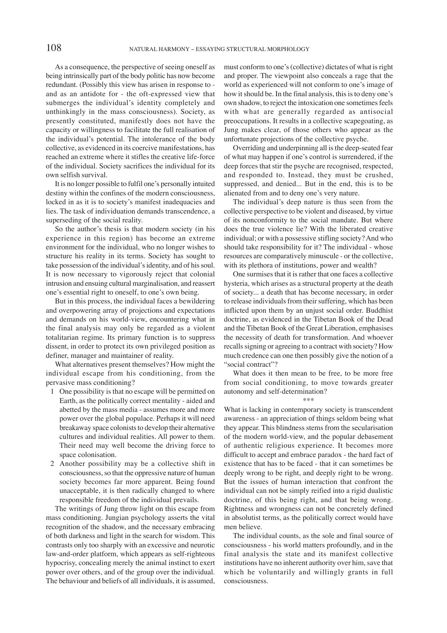As a consequence, the perspective of seeing oneself as being intrinsically part of the body politic has now become redundant. (Possibly this view has arisen in response to and as an antidote for - the oft-expressed view that submerges the individual's identity completely and unthinkingly in the mass consciousness). Society, as presently constituted, manifestly does not have the capacity or willingness to facilitate the full realisation of the individual's potential. The intolerance of the body collective, as evidenced in its coercive manifestations, has reached an extreme where it stifles the creative life-force of the individual. Society sacrifices the individual for its own selfish survival.

It is no longer possible to fulfil one's personally intuited destiny within the confines of the modern consciousness, locked in as it is to society's manifest inadequacies and lies. The task of individuation demands transcendence, a superseding of the social reality.

So the author's thesis is that modern society (in his experience in this region) has become an extreme environment for the individual, who no longer wishes to structure his reality in its terms. Society has sought to take possession of the individual's identity, and of his soul. It is now necessary to vigorously reject that colonial intrusion and ensuing cultural marginalisation, and reassert one's essential right to oneself, to one's own being.

But in this process, the individual faces a bewildering and overpowering array of projections and expectations and demands on his world-view, encountering what in the final analysis may only be regarded as a violent totalitarian regime. Its primary function is to suppress dissent, in order to protect its own privileged position as definer, manager and maintainer of reality.

What alternatives present themselves? How might the individual escape from his conditioning, from the pervasive mass conditioning?

- 1 One possibility is that no escape will be permitted on Earth, as the politically correct mentality - aided and abetted by the mass media - assumes more and more power over the global populace. Perhaps it will need breakaway space colonists to develop their alternative cultures and individual realities. All power to them. Their need may well become the driving force to space colonisation.
- 2 Another possibility may be a collective shift in consciousness, so that the oppressive nature of human society becomes far more apparent. Being found unacceptable, it is then radically changed to where responsible freedom of the individual prevails.

The writings of Jung throw light on this escape from mass conditioning. Jungian psychology asserts the vital recognition of the shadow, and the necessary embracing of both darkness and light in the search for wisdom. This contrasts only too sharply with an excessive and neurotic law-and-order platform, which appears as self-righteous hypocrisy, concealing merely the animal instinct to exert power over others, and of the group over the individual. The behaviour and beliefs of all individuals, it is assumed, must conform to one's (collective) dictates of what is right and proper. The viewpoint also conceals a rage that the world as experienced will not conform to one's image of how it should be. In the final analysis, this is to deny one's own shadow, to reject the intoxication one sometimes feels with what are generally regarded as antisocial preoccupations. It results in a collective scapegoating, as Jung makes clear, of those others who appear as the unfortunate projections of the collective psyche.

Overriding and underpinning all is the deep-seated fear of what may happen if one's control is surrendered, if the deep forces that stir the psyche are recognised, respected, and responded to. Instead, they must be crushed, suppressed, and denied... But in the end, this is to be alienated from and to deny one's very nature.

The individual's deep nature is thus seen from the collective perspective to be violent and diseased, by virtue of its nonconformity to the social mandate. But where does the true violence lie? With the liberated creative individual; or with a possessive stifling society? And who should take responsibility for it? The individual - whose resources are comparatively minuscule - or the collective, with its plethora of institutions, power and wealth?

One surmises that it is rather that one faces a collective hysteria, which arises as a structural property at the death of society... a death that has become necessary, in order to release individuals from their suffering, which has been inflicted upon them by an unjust social order. Buddhist doctrine, as evidenced in the Tibetan Book of the Dead and the Tibetan Book of the Great Liberation, emphasises the necessity of death for transformation. And whoever recalls signing or agreeing to a contract with society? How much credence can one then possibly give the notion of a "social contract"?

What does it then mean to be free, to be more free from social conditioning, to move towards greater autonomy and self-determination?

## \*\*\*

What is lacking in contemporary society is transcendent awareness - an appreciation of things seldom being what they appear. This blindness stems from the secularisation of the modern world-view, and the popular debasement of authentic religious experience. It becomes more difficult to accept and embrace paradox - the hard fact of existence that has to be faced - that it can sometimes be deeply wrong to be right, and deeply right to be wrong. But the issues of human interaction that confront the individual can not be simply reified into a rigid dualistic doctrine, of this being right, and that being wrong. Rightness and wrongness can not be concretely defined in absolutist terms, as the politically correct would have men believe.

The individual counts, as the sole and final source of consciousness - his world matters profoundly, and in the final analysis the state and its manifest collective institutions have no inherent authority over him, save that which he voluntarily and willingly grants in full consciousness.